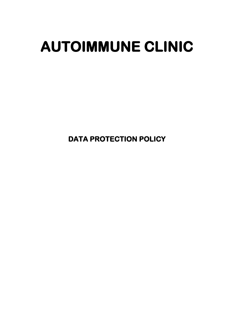# **AUTOIMMUNE CLINIC**

**DATA PROTECTION POLICY**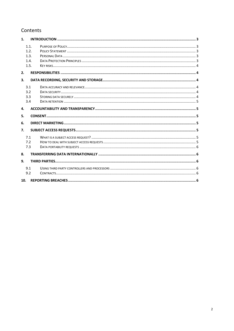# Contents

| 1.  |                              |  |  |
|-----|------------------------------|--|--|
|     | 1.1.<br>1.2.<br>1.3.<br>1.4. |  |  |
| 2.  | 1.5.                         |  |  |
| 3.  |                              |  |  |
|     | 3.1<br>3.2<br>3.3<br>3.4     |  |  |
| 4.  |                              |  |  |
| 5.  |                              |  |  |
| 6.  |                              |  |  |
| 7.  |                              |  |  |
|     | 7.1<br>7.2<br>7.3            |  |  |
| 8.  |                              |  |  |
| 9.  |                              |  |  |
|     | 9.1<br>9.2                   |  |  |
| 10. |                              |  |  |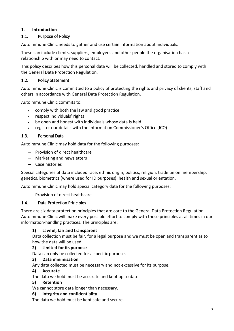## <span id="page-2-0"></span>**1. Introduction**

## <span id="page-2-1"></span>1.1. Purpose of Policy

Autoimmune Clinic needs to gather and use certain information about individuals.

These can include clients, suppliers, employees and other people the organisation has a relationship with or may need to contact.

This policy describes how this personal data will be collected, handled and stored to comply with the General Data Protection Regulation.

## <span id="page-2-2"></span>1.2. Policy Statement

Autoimmune Clinic is committed to a policy of protecting the rights and privacy of clients, staff and others in accordance with General Data Protection Regulation.

Autoimmune Clinic commits to:

- comply with both the law and good practice
- respect individuals' rights
- be open and honest with individuals whose data is held
- register our details with the Information Commissioner's Office (ICO)

## <span id="page-2-3"></span>1.3. Personal Data

Autoimmune Clinic may hold data for the following purposes:

- − Provision of direct healthcare
- − Marketing and newsletters
- − Case histories

Special categories of data included race, ethnic origin, politics, religion, trade union membership, genetics, biometrics (where used for ID purposes), health and sexual orientation.

Autoimmune Clinic may hold special category data for the following purposes:

− Provision of direct healthcare

## <span id="page-2-4"></span>1.4. Data Protection Principles

There are six data protection principles that are core to the General Data Protection Regulation. Autoimmune Clinic will make every possible effort to comply with these principles at all times in our information-handling practices. The principles are:

#### **1) Lawful, fair and transparent**

Data collection must be fair, for a legal purpose and we must be open and transparent as to how the data will be used.

#### **2) Limited for its purpose**

Data can only be collected for a specific purpose.

#### **3) Data minimisation**

Any data collected must be necessary and not excessive for its purpose.

#### **4) Accurate**

The data we hold must be accurate and kept up to date.

#### **5) Retention**

We cannot store data longer than necessary.

#### **6) Integrity and confidentiality**

The data we hold must be kept safe and secure.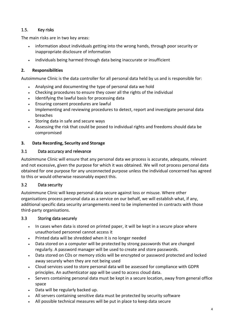# <span id="page-3-0"></span>1.5. Key risks

The main risks are in two key areas:

- information about individuals getting into the wrong hands, through poor security or inappropriate disclosure of information
- individuals being harmed through data being inaccurate or insufficient

#### <span id="page-3-1"></span>**2. Responsibilities**

Autoimmune Clinic is the data controller for all personal data held by us and is responsible for:

- Analysing and documenting the type of personal data we hold
- Checking procedures to ensure they cover all the rights of the individual
- Identifying the lawful basis for processing data
- Ensuring consent procedures are lawful
- Implementing and reviewing procedures to detect, report and investigate personal data breaches
- Storing data in safe and secure ways
- Assessing the risk that could be posed to individual rights and freedoms should data be compromised

#### <span id="page-3-2"></span>**3. Data Recording, Security and Storage**

#### <span id="page-3-3"></span>3.1 Data accuracy and relevance

Autoimmune Clinic will ensure that any personal data we process is accurate, adequate, relevant and not excessive, given the purpose for which it was obtained. We will not process personal data obtained for one purpose for any unconnected purpose unless the individual concerned has agreed to this or would otherwise reasonably expect this.

## <span id="page-3-4"></span>3.2 Data security

Autoimmune Clinic will keep personal data secure against loss or misuse. Where other organisations process personal data as a service on our behalf, we will establish what, if any, additional specific data security arrangements need to be implemented in contracts with those third-party organisations.

#### <span id="page-3-5"></span>3.3 Storing data securely

- In cases when data is stored on printed paper, it will be kept in a secure place where unauthorised personnel cannot access it
- Printed data will be shredded when it is no longer needed
- Data stored on a computer will be protected by strong passwords that are changed regularly. A password manager will be used to create and store passwords.
- Data stored on CDs or memory sticks will be encrypted or password protected and locked away securely when they are not being used
- Cloud services used to store personal data will be assessed for compliance with GDPR principles. An authenticator app will be used to access cloud data.
- Servers containing personal data must be kept in a secure location, away from general office space
- Data will be regularly backed up.
- All servers containing sensitive data must be protected by security software
- All possible technical measures will be put in place to keep data secure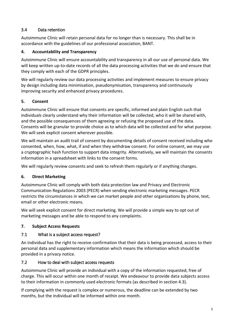## <span id="page-4-0"></span>3.4 Data retention

Autoimmune Clinic will retain personal data for no longer than is necessary. This shall be in accordance with the guidelines of our professional association, BANT.

## <span id="page-4-1"></span>**4. Accountability and Transparency**

Autoimmune Clinic will ensure accountability and transparency in all our use of personal data. We will keep written up-to-date records of all the data processing activities that we do and ensure that they comply with each of the GDPR principles.

We will regularly review our data processing activities and implement measures to ensure privacy by design including data minimisation, pseudonymisation, transparency and continuously improving security and enhanced privacy procedures.

## <span id="page-4-2"></span>**5. Consent**

Autoimmune Clinic will ensure that consents are specific, informed and plain English such that individuals clearly understand why their information will be collected, who it will be shared with, and the possible consequences of them agreeing or refusing the proposed use of the data. Consents will be granular to provide choice as to which data will be collected and for what purpose. We will seek explicit consent wherever possible.

We will maintain an audit trail of consent by documenting details of consent received including who consented, when, how, what, if and when they withdraw consent. For online consent, we may use a cryptographic hash function to support data integrity. Alternatively, we will maintain the consents information in a spreadsheet with links to the consent forms.

We will regularly review consents and seek to refresh them regularly or if anything changes.

## <span id="page-4-3"></span>**6. Direct Marketing**

Autoimmune Clinic will comply with both data protection law and Privacy and Electronic Communication Regulations 2003 (PECR) when sending electronic marketing messages. PECR restricts the circumstances in which we can market people and other organisations by phone, text, email or other electronic means.

We will seek explicit consent for direct marketing. We will provide a simple way to opt out of marketing messages and be able to respond to any complaints.

# <span id="page-4-4"></span>**7. Subject Access Requests**

# <span id="page-4-5"></span>7.1 What is a subject access request?

An individual has the right to receive confirmation that their data is being processed, access to their personal data and supplementary information which means the information which should be provided in a privacy notice.

# <span id="page-4-6"></span>7.2 How to deal with subject access requests

Autoimmune Clinic will provide an individual with a copy of the information requested, free of charge. This will occur within one month of receipt. We endeavour to provide data subjects access to their information in commonly used electronic formats (as described in section 4.3).

If complying with the request is complex or numerous, the deadline can be extended by two months, but the individual will be informed within one month.